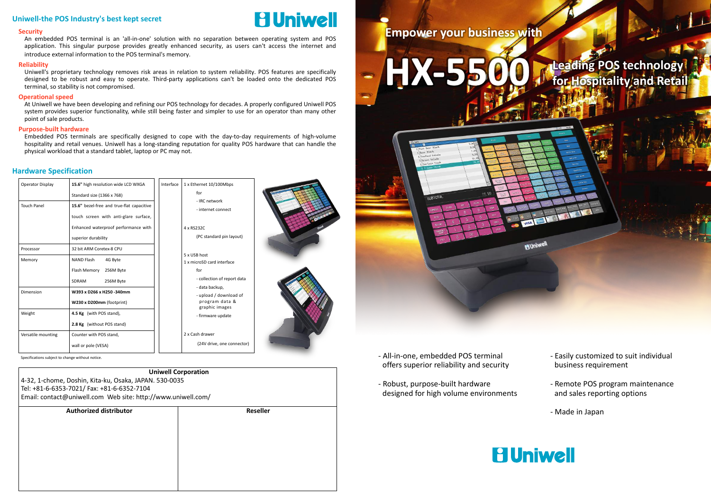**Authorized distributor Reseller Uniwell Corporation** 4-32, 1-chome, Doshin, Kita-ku, Osaka, JAPAN. 530-0035 Tel: +81-6-6353-7021/ Fax: +81-6-6352-7104 Email: contact@uniwell.com Web site: http://www.uniwell.com/

| Operator Display   | 15.6" high resolution wide LCD WXGA                                                                                                               | Interface | 1 x Ethernet 10/100Mbps                                                       |  |
|--------------------|---------------------------------------------------------------------------------------------------------------------------------------------------|-----------|-------------------------------------------------------------------------------|--|
|                    | Standard size (1366 x 768)                                                                                                                        |           | for                                                                           |  |
| <b>Touch Panel</b> | 15.6" bezel-free and true-flat capacitive<br>touch screen with anti-glare surface,<br>Enhanced waterproof performance with<br>superior durability |           | - IRC network<br>- internet connect<br>4 x RS232C<br>(PC standard pin layout) |  |
| Processor          | 32 bit ARM Coretex-8 CPU                                                                                                                          |           |                                                                               |  |
| Memory             | <b>NAND Flash</b><br>4G Byte                                                                                                                      |           | 5 x USB host<br>1 x microSD card interface                                    |  |
|                    | Flash Memory<br>256M Byte<br>SDRAM<br>256M Byte                                                                                                   |           | for<br>- collection of report data                                            |  |
| Dimension          | W393 x D266 x H250 - 340mm<br>W230 x D200mm (footprint)                                                                                           |           | - data backup,<br>- upload / download of<br>program data &                    |  |
| Weight             | 4.5 Kg (with POS stand),<br>2.8 Kg (without POS stand)                                                                                            |           | graphic images<br>- firmware update                                           |  |
| Versatile mounting | Counter with POS stand,<br>wall or pole (VESA)                                                                                                    |           | 2 x Cash drawer<br>(24V drive, one connector)                                 |  |

#### **Hardware Specification**

#### **Security**

An embedded POS terminal is an 'all-in-one' solution with no separation between operating system and POS application. This singular purpose provides greatly enhanced security, as users can't access the internet and introduce external information to the POS terminal's memory.

- Specifications subject to change without notice. **Easily customized to suit individual** and the suit individual offers superior reliability and security
	- Robust, purpose-built hardware designed for high volume environments

# **Leading POS technology for Hospitality and Retail Leading POS technology Constraints HX-5500 for Hospitality** and

#### **Reliability**

Uniwell's proprietary technology removes risk areas in relation to system reliability. POS features are specifically designed to be robust and easy to operate. Third-party applications can't be loaded onto the dedicated POS terminal, so stability is not compromised.

#### **Operational speed**

At Uniwell we have been developing and refining our POS technology for decades. A properly configured Uniwell POS system provides superior functionality, while still being faster and simpler to use for an operator than many other point of sale products.

#### **Purpose-built hardware**

Embedded POS terminals are specifically designed to cope with the day-to-day requirements of high-volume hospitality and retail venues. Uniwell has a long-standing reputation for quality POS hardware that can handle the physical workload that a standard tablet, laptop or PC may not.

#### **Uniwell-the POS Industry's best kept secret**



- business requirement
- Remote POS program maintenance and sales reporting options
- Made in Japan



**HUniwel**